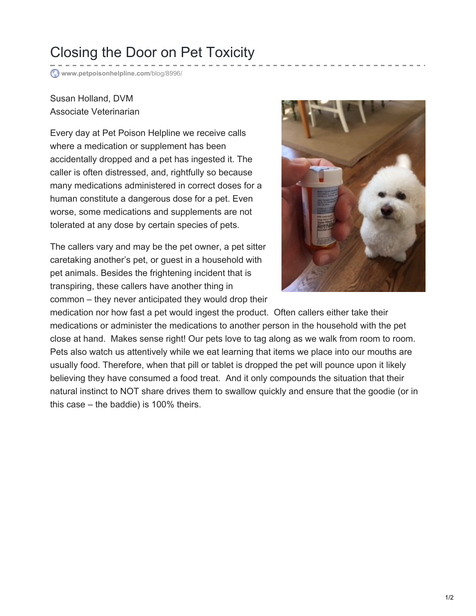## Closing the Door on Pet Toxicity

**[www.petpoisonhelpline.com](http://www.petpoisonhelpline.com/blog/8996/)**/blog/8996/

## Susan Holland, DVM Associate Veterinarian

Every day at Pet Poison Helpline we receive calls where a medication or supplement has been accidentally dropped and a pet has ingested it. The caller is often distressed, and, rightfully so because many medications administered in correct doses for a human constitute a dangerous dose for a pet. Even worse, some medications and supplements are not tolerated at any dose by certain species of pets.

The callers vary and may be the pet owner, a pet sitter caretaking another's pet, or guest in a household with pet animals. Besides the frightening incident that is transpiring, these callers have another thing in common – they never anticipated they would drop their



medication nor how fast a pet would ingest the product. Often callers either take their medications or administer the medications to another person in the household with the pet close at hand. Makes sense right! Our pets love to tag along as we walk from room to room. Pets also watch us attentively while we eat learning that items we place into our mouths are usually food. Therefore, when that pill or tablet is dropped the pet will pounce upon it likely believing they have consumed a food treat. And it only compounds the situation that their natural instinct to NOT share drives them to swallow quickly and ensure that the goodie (or in this case – the baddie) is 100% theirs.